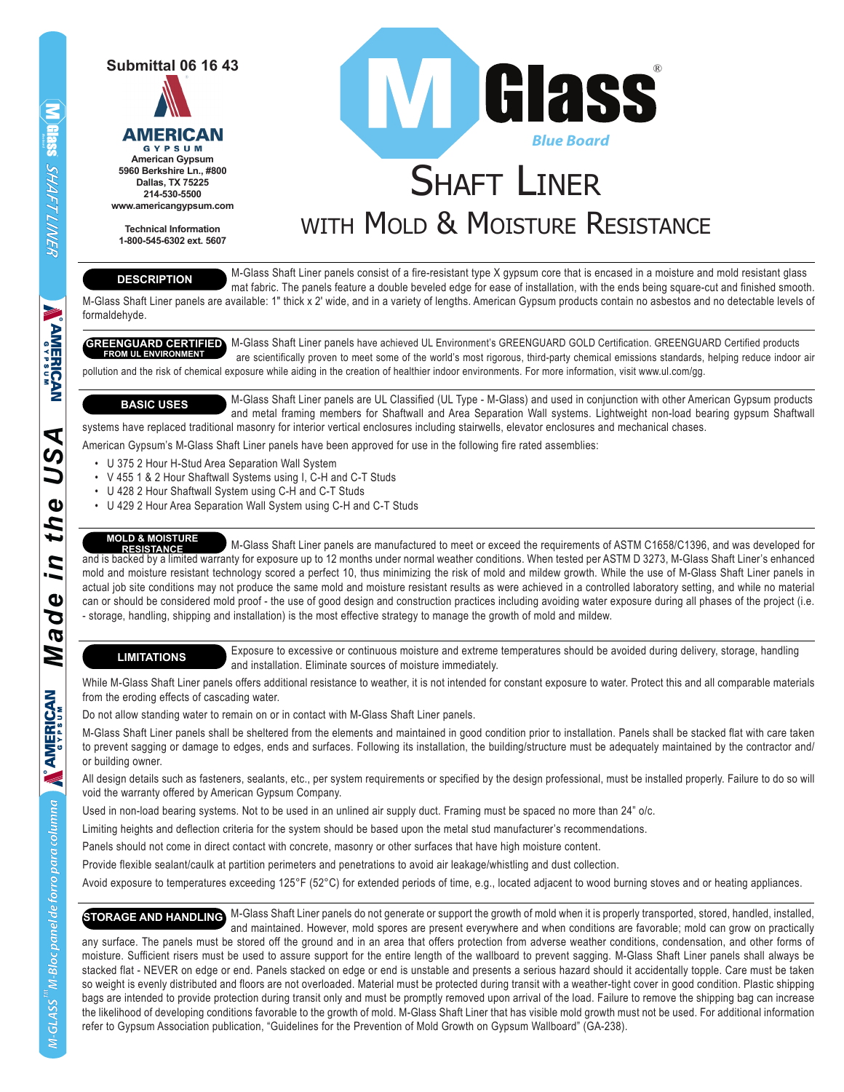



**American Gypsum 5960 Berkshire Ln., #800 Dallas, TX 75225 214-530-5500 www.americangypsum.com**

**Technical Information 1-800-545-6302 ext. 5607**

# **SHAFT LINER** WITH MOLD & MOISTURE RESISTANCE *Blue Board* **WIGIASS**

**DESCRIPTION**

 M-Glass Shaft Liner panels consist of a fire-resistant type X gypsum core that is encased in a moisture and mold resistant glass mat fabric. The panels feature a double beveled edge for ease of installation, with the ends being square-cut and finished smooth. M-Glass Shaft Liner panels are available: 1″ thick x 2′ wide, and in a variety of lengths. American Gypsum products contain no asbestos and no detectable levels of

formaldehyde.

GREENGUARD CERTIFIED M-Glass Shaft Liner panels have achieved UL Environment's GREENGUARD GOLD Certification. GREENGUARD Certified products are scientifically proven to meet some of the world's most rigorous, third-party chemical emissions standards, helping reduce indoor air pollution and the risk of chemical exposure while aiding in the creation of healthier indoor environments. For more information, visit www.ul.com/gg. **FROM UL ENVIRONMENT**

 M-Glass Shaft Liner panels are UL Classified (UL Type - M-Glass) and used in conjunction with other American Gypsum products and metal framing members for Shaftwall and Area Separation Wall systems. Lightweight non-load bearing gypsum Shaftwall systems have replaced traditional masonry for interior vertical enclosures including stairwells, elevator enclosures and mechanical chases. **BASIC USES**

American Gypsum's M-Glass Shaft Liner panels have been approved for use in the following fire rated assemblies:

- U 375 2 Hour H-Stud Area Separation Wall System
- V 455 1 & 2 Hour Shaftwall Systems using I, C-H and C-T Studs
- U 428 2 Hour Shaftwall System using C-H and C-T Studs
- U 429 2 Hour Area Separation Wall System using C-H and C-T Studs

#### **MOLD & MOISTURE**

 M-Glass Shaft Liner panels are manufactured to meet or exceed the requirements of ASTM C1658/C1396, and was developed for and is backed by a limited warranty for exposure up to 12 months under normal weather conditions. When tested per ASTM D 3273, M-Glass Shaft Liner's enhanced mold and moisture resistant technology scored a perfect 10, thus minimizing the risk of mold and mildew growth. While the use of M-Glass Shaft Liner panels in actual job site conditions may not produce the same mold and moisture resistant results as were achieved in a controlled laboratory setting, and while no material can or should be considered mold proof - the use of good design and construction practices including avoiding water exposure during all phases of the project (i.e. - storage, handling, shipping and installation) is the most effective strategy to manage the growth of mold and mildew. **RESISTANCE**

## **LIMITATIONS**

 Exposure to excessive or continuous moisture and extreme temperatures should be avoided during delivery, storage, handling and installation. Eliminate sources of moisture immediately.

While M-Glass Shaft Liner panels offers additional resistance to weather, it is not intended for constant exposure to water. Protect this and all comparable materials from the eroding effects of cascading water.

Do not allow standing water to remain on or in contact with M-Glass Shaft Liner panels.

M-Glass Shaft Liner panels shall be sheltered from the elements and maintained in good condition prior to installation. Panels shall be stacked flat with care taken to prevent sagging or damage to edges, ends and surfaces. Following its installation, the building/structure must be adequately maintained by the contractor and/ or building owner.

All design details such as fasteners, sealants, etc., per system requirements or specified by the design professional, must be installed properly. Failure to do so will void the warranty offered by American Gypsum Company.

Used in non-load bearing systems. Not to be used in an unlined air supply duct. Framing must be spaced no more than 24" o/c.

Limiting heights and deflection criteria for the system should be based upon the metal stud manufacturer's recommendations.

Panels should not come in direct contact with concrete, masonry or other surfaces that have high moisture content.

Provide flexible sealant/caulk at partition perimeters and penetrations to avoid air leakage/whistling and dust collection.

Avoid exposure to temperatures exceeding 125°F (52°C) for extended periods of time, e.g., located adjacent to wood burning stoves and or heating appliances.

STORAGE AND HANDLING M-Glass Shaft Liner panels do not generate or support the growth of mold when it is properly transported, stored, handled, installed, and maintained. However, mold spores are present everywhere and when conditions are favorable; mold can grow on practically any surface. The panels must be stored off the ground and in an area that offers protection from adverse weather conditions, condensation, and other forms of moisture. Sufficient risers must be used to assure support for the entire length of the wallboard to prevent sagging. M-Glass Shaft Liner panels shall always be stacked flat - NEVER on edge or end. Panels stacked on edge or end is unstable and presents a serious hazard should it accidentally topple. Care must be taken so weight is evenly distributed and floors are not overloaded. Material must be protected during transit with a weather-tight cover in good condition. Plastic shipping bags are intended to provide protection during transit only and must be promptly removed upon arrival of the load. Failure to remove the shipping bag can increase the likelihood of developing conditions favorable to the growth of mold. M-Glass Shaft Liner that has visible mold growth must not be used. For additional information refer to Gypsum Association publication, "Guidelines for the Prevention of Mold Growth on Gypsum Wallboard" (GA-238).